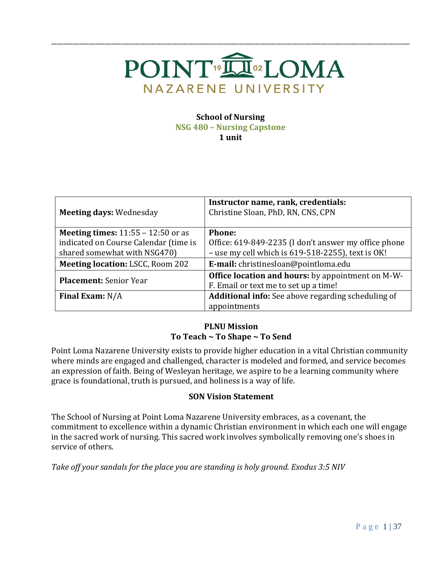

\_\_\_\_\_\_\_\_\_\_\_\_\_\_\_\_\_\_\_\_\_\_\_\_\_\_\_\_\_\_\_\_\_\_\_\_\_\_\_\_\_\_\_\_\_\_\_\_\_\_\_\_\_\_\_\_\_\_\_\_\_\_\_\_\_\_\_\_\_\_\_\_\_\_\_\_\_\_\_\_\_\_\_\_\_\_\_\_\_\_\_\_\_\_\_\_\_\_\_\_\_\_\_\_\_\_\_\_\_\_\_\_\_

#### **School of Nursing NSG 480 – Nursing Capstone**

**1 unit**

| <b>Meeting days: Wednesday</b>              | Instructor name, rank, credentials:<br>Christine Sloan, PhD, RN, CNS, CPN |
|---------------------------------------------|---------------------------------------------------------------------------|
| <b>Meeting times:</b> $11:55 - 12:50$ or as | <b>Phone:</b>                                                             |
| indicated on Course Calendar (time is       | Office: 619-849-2235 (I don't answer my office phone                      |
| shared somewhat with NSG470)                | - use my cell which is 619-518-2255), text is OK!                         |
| <b>Meeting location: LSCC, Room 202</b>     | E-mail: christinesloan@pointloma.edu                                      |
|                                             | <b>Office location and hours:</b> by appointment on M-W-                  |
| <b>Placement:</b> Senior Year               | F. Email or text me to set up a time!                                     |
| Final Exam: $N/A$                           | <b>Additional info:</b> See above regarding scheduling of                 |
|                                             | appointments                                                              |

## **PLNU Mission To Teach ~ To Shape ~ To Send**

Point Loma Nazarene University exists to provide higher education in a vital Christian community where minds are engaged and challenged, character is modeled and formed, and service becomes an expression of faith. Being of Wesleyan heritage, we aspire to be a learning community where grace is foundational, truth is pursued, and holiness is a way of life.

#### **SON Vision Statement**

The School of Nursing at Point Loma Nazarene University embraces, as a covenant, the commitment to excellence within a dynamic Christian environment in which each one will engage in the sacred work of nursing. This sacred work involves symbolically removing one's shoes in service of others.

*Take off your sandals for the place you are standing is holy ground. Exodus 3:5 NIV*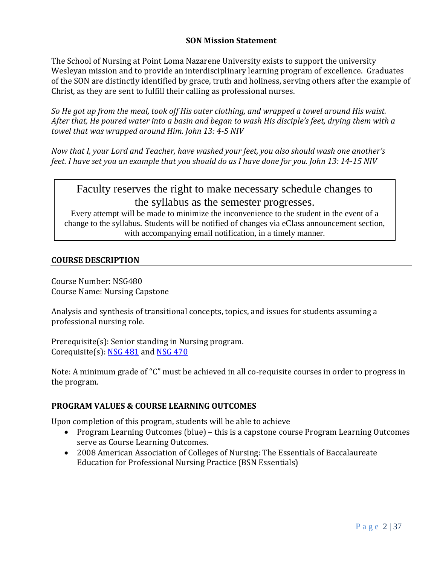#### **SON Mission Statement**

The School of Nursing at Point Loma Nazarene University exists to support the university Wesleyan mission and to provide an interdisciplinary learning program of excellence. Graduates of the SON are distinctly identified by grace, truth and holiness, serving others after the example of Christ, as they are sent to fulfill their calling as professional nurses.

*So He got up from the meal, took off His outer clothing, and wrapped a towel around His waist. After that, He poured water into a basin and began to wash His disciple's feet, drying them with a towel that was wrapped around Him. John 13: 4-5 NIV* 

*Now that I, your Lord and Teacher, have washed your feet, you also should wash one another's feet. I have set you an example that you should do as I have done for you. John 13: 14-15 NIV* 

Faculty reserves the right to make necessary schedule changes to the syllabus as the semester progresses.

Every attempt will be made to minimize the inconvenience to the student in the event of a change to the syllabus. Students will be notified of changes via eClass announcement section, with accompanying email notification, in a timely manner.

#### **COURSE DESCRIPTION**

Course Number: NSG480 Course Name: Nursing Capstone

Analysis and synthesis of transitional concepts, topics, and issues for students assuming a professional nursing role.

Prerequisite(s): Senior standing in Nursing program. Corequisite(s): [NSG 481](http://catalog.pointloma.edu/preview_program.php?catoid=10&poid=536&returnto=1006#tt5372) and [NSG 470](http://catalog.pointloma.edu/preview_program.php?catoid=10&poid=536&returnto=1006#tt1502)

Note: A minimum grade of "C" must be achieved in all co-requisite courses in order to progress in the program.

#### **PROGRAM VALUES & COURSE LEARNING OUTCOMES**

Upon completion of this program, students will be able to achieve

- Program Learning Outcomes (blue) this is a capstone course Program Learning Outcomes serve as Course Learning Outcomes.
- 2008 American Association of Colleges of Nursing: The Essentials of Baccalaureate Education for Professional Nursing Practice (BSN Essentials)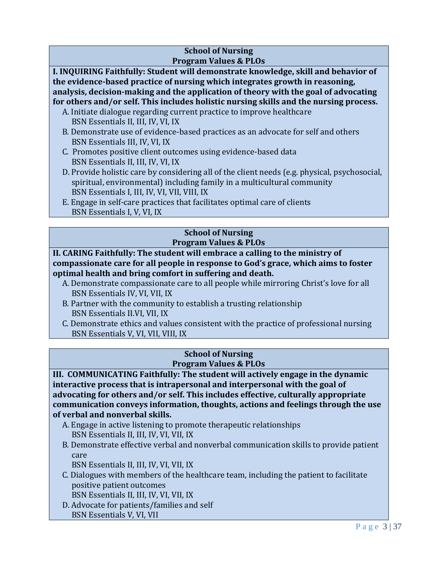#### **School of Nursing Program Values & PLOs**

**I. INQUIRING Faithfully: Student will demonstrate knowledge, skill and behavior of the evidence-based practice of nursing which integrates growth in reasoning, analysis, decision-making and the application of theory with the goal of advocating for others and/or self. This includes holistic nursing skills and the nursing process.**

- A. Initiate dialogue regarding current practice to improve healthcare BSN Essentials II, III, IV, VI, IX
- B. Demonstrate use of evidence-based practices as an advocate for self and others BSN Essentials III, IV, VI, IX
- C. Promotes positive client outcomes using evidence-based data BSN Essentials II, III, IV, VI, IX
- D. Provide holistic care by considering all of the client needs (e.g. physical, psychosocial, spiritual, environmental) including family in a multicultural community BSN Essentials I, III, IV, VI, VII, VIII, IX
- E. Engage in self-care practices that facilitates optimal care of clients BSN Essentials I, V, VI, IX

#### **School of Nursing Program Values & PLOs**

## **II. CARING Faithfully: The student will embrace a calling to the ministry of compassionate care for all people in response to God's grace, which aims to foster optimal health and bring comfort in suffering and death.**

- A. Demonstrate compassionate care to all people while mirroring Christ's love for all BSN Essentials IV, VI, VII, IX
- B. Partner with the community to establish a trusting relationship BSN Essentials II.VI, VII, IX
- C. Demonstrate ethics and values consistent with the practice of professional nursing BSN Essentials V, VI, VII, VIII, IX

#### **School of Nursing Program Values & PLOs**

**III. COMMUNICATING Faithfully: The student will actively engage in the dynamic interactive process that is intrapersonal and interpersonal with the goal of advocating for others and/or self. This includes effective, culturally appropriate communication conveys information, thoughts, actions and feelings through the use of verbal and nonverbal skills.**

- A. Engage in active listening to promote therapeutic relationships BSN Essentials II, III, IV, VI, VII, IX
- B. Demonstrate effective verbal and nonverbal communication skills to provide patient care
	- BSN Essentials II, III, IV, VI, VII, IX
- C. Dialogues with members of the healthcare team, including the patient to facilitate positive patient outcomes
	- BSN Essentials II, III, IV, VI, VII, IX
- D. Advocate for patients/families and self BSN Essentials V, VI, VII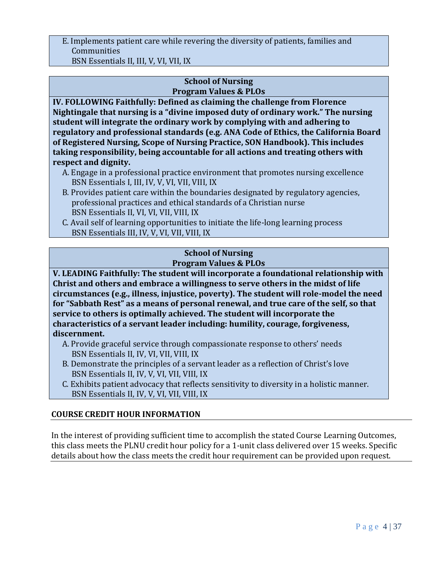## E. Implements patient care while revering the diversity of patients, families and Communities

BSN Essentials II, III, V, VI, VII, IX

#### **School of Nursing Program Values & PLOs**

**IV. FOLLOWING Faithfully: Defined as claiming the challenge from Florence Nightingale that nursing is a "divine imposed duty of ordinary work." The nursing student will integrate the ordinary work by complying with and adhering to regulatory and professional standards (e.g. ANA Code of Ethics, the California Board of Registered Nursing, Scope of Nursing Practice, SON Handbook). This includes taking responsibility, being accountable for all actions and treating others with respect and dignity.**

- A. Engage in a professional practice environment that promotes nursing excellence BSN Essentials I, III, IV, V, VI, VII, VIII, IX
- B. Provides patient care within the boundaries designated by regulatory agencies, professional practices and ethical standards of a Christian nurse BSN Essentials II, VI, VI, VII, VIII, IX
- C. Avail self of learning opportunities to initiate the life-long learning process BSN Essentials III, IV, V, VI, VII, VIII, IX

## **School of Nursing Program Values & PLOs**

**V. LEADING Faithfully: The student will incorporate a foundational relationship with Christ and others and embrace a willingness to serve others in the midst of life circumstances (e.g., illness, injustice, poverty). The student will role-model the need for "Sabbath Rest" as a means of personal renewal, and true care of the self, so that service to others is optimally achieved. The student will incorporate the characteristics of a servant leader including: humility, courage, forgiveness, discernment.**

- A. Provide graceful service through compassionate response to others' needs BSN Essentials II, IV, VI, VII, VIII, IX
- B. Demonstrate the principles of a servant leader as a reflection of Christ's love BSN Essentials II, IV, V, VI, VII, VIII, IX
- C. Exhibits patient advocacy that reflects sensitivity to diversity in a holistic manner. BSN Essentials II, IV, V, VI, VII, VIII, IX

## **COURSE CREDIT HOUR INFORMATION**

In the interest of providing sufficient time to accomplish the stated Course Learning Outcomes, this class meets the PLNU credit hour policy for a 1-unit class delivered over 15 weeks. Specific details about how the class meets the credit hour requirement can be provided upon request.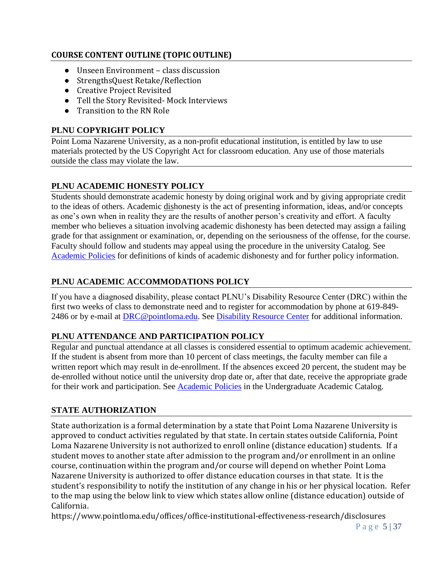## **COURSE CONTENT OUTLINE (TOPIC OUTLINE)**

- Unseen Environment class discussion
- StrengthsQuest Retake/Reflection
- Creative Project Revisited
- Tell the Story Revisited- Mock Interviews
- Transition to the RN Role

## **PLNU COPYRIGHT POLICY**

Point Loma Nazarene University, as a non-profit educational institution, is entitled by law to use materials protected by the US Copyright Act for classroom education. Any use of those materials outside the class may violate the law.

## **PLNU ACADEMIC HONESTY POLICY**

Students should demonstrate academic honesty by doing original work and by giving appropriate credit to the ideas of others. Academic dishonesty is the act of presenting information, ideas, and/or concepts as one's own when in reality they are the results of another person's creativity and effort. A faculty member who believes a situation involving academic dishonesty has been detected may assign a failing grade for that assignment or examination, or, depending on the seriousness of the offense, for the course. Faculty should follow and students may appeal using the procedure in the university Catalog. See [Academic Policies](http://catalog.pointloma.edu/content.php?catoid=18&navoid=1278) for definitions of kinds of academic dishonesty and for further policy information.

## **PLNU ACADEMIC ACCOMMODATIONS POLICY**

If you have a diagnosed disability, please contact PLNU's Disability Resource Center (DRC) within the first two weeks of class to demonstrate need and to register for accommodation by phone at 619-849- 2486 or by e-mail at [DRC@pointloma.edu.](mailto:DRC@pointloma.edu) See [Disability Resource Center](http://www.pointloma.edu/experience/offices/administrative-offices/academic-advising-office/disability-resource-center) for additional information.

## **PLNU ATTENDANCE AND PARTICIPATION POLICY**

Regular and punctual attendance at all classes is considered essential to optimum academic achievement. If the student is absent from more than 10 percent of class meetings, the faculty member can file a written report which may result in de-enrollment. If the absences exceed 20 percent, the student may be de-enrolled without notice until the university drop date or, after that date, receive the appropriate grade for their work and participation. See [Academic Policies](http://catalog.pointloma.edu/content.php?catoid=18&navoid=1278) in the Undergraduate Academic Catalog.

## **STATE AUTHORIZATION**

State authorization is a formal determination by a state that Point Loma Nazarene University is approved to conduct activities regulated by that state. In certain states outside California, Point Loma Nazarene University is not authorized to enroll online (distance education) students. If a student moves to another state after admission to the program and/or enrollment in an online course, continuation within the program and/or course will depend on whether Point Loma Nazarene University is authorized to offer distance education courses in that state. It is the student's responsibility to notify the institution of any change in his or her physical location. Refer to the map using the below link to view which states allow online (distance education) outside of California.

<https://www.pointloma.edu/offices/office-institutional-effectiveness-research/disclosures>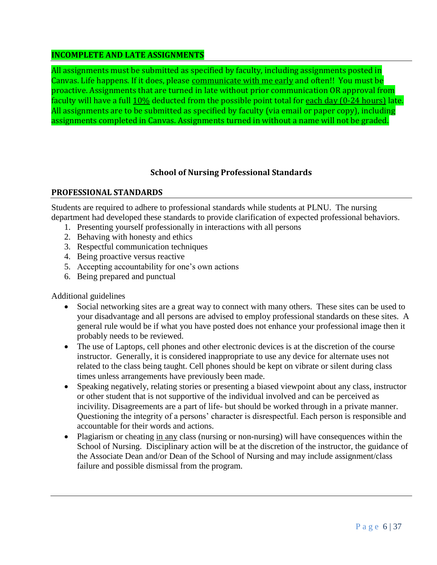#### **INCOMPLETE AND LATE ASSIGNMENTS**

All assignments must be submitted as specified by faculty, including assignments posted in Canvas. Life happens. If it does, please communicate with me early and often!! You must be proactive. Assignments that are turned in late without prior communication OR approval from faculty will have a full 10% deducted from the possible point total for each day (0-24 hours) late. All assignments are to be submitted as specified by faculty (via email or paper copy), including assignments completed in Canvas. Assignments turned in without a name will not be graded.

## **School of Nursing Professional Standards**

#### **PROFESSIONAL STANDARDS**

Students are required to adhere to professional standards while students at PLNU. The nursing department had developed these standards to provide clarification of expected professional behaviors.

- 1. Presenting yourself professionally in interactions with all persons
- 2. Behaving with honesty and ethics
- 3. Respectful communication techniques
- 4. Being proactive versus reactive
- 5. Accepting accountability for one's own actions
- 6. Being prepared and punctual

Additional guidelines

- Social networking sites are a great way to connect with many others. These sites can be used to your disadvantage and all persons are advised to employ professional standards on these sites. A general rule would be if what you have posted does not enhance your professional image then it probably needs to be reviewed.
- The use of Laptops, cell phones and other electronic devices is at the discretion of the course instructor. Generally, it is considered inappropriate to use any device for alternate uses not related to the class being taught. Cell phones should be kept on vibrate or silent during class times unless arrangements have previously been made.
- Speaking negatively, relating stories or presenting a biased viewpoint about any class, instructor or other student that is not supportive of the individual involved and can be perceived as incivility. Disagreements are a part of life- but should be worked through in a private manner. Questioning the integrity of a persons' character is disrespectful. Each person is responsible and accountable for their words and actions.
- Plagiarism or cheating in any class (nursing or non-nursing) will have consequences within the School of Nursing. Disciplinary action will be at the discretion of the instructor, the guidance of the Associate Dean and/or Dean of the School of Nursing and may include assignment/class failure and possible dismissal from the program.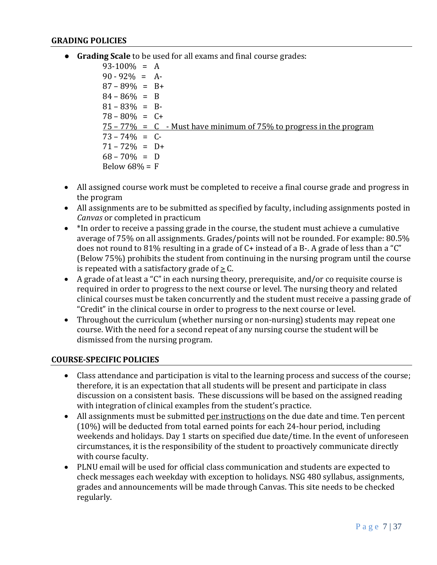#### **GRADING POLICIES**

● **Grading Scale** to be used for all exams and final course grades:

 $93-100\% = A$  $90 - 92\% = A$ 87 – 89% = B+  $84 - 86\% = B$  $81 - 83\% = B$  $78 - 80\% = C +$  $75 - 77\% = C$  - Must have minimum of 75% to progress in the program  $73 - 74\% = C$  $71 - 72\% = D +$  $68 - 70\% = D$ Below  $68\% = F$ 

- All assigned course work must be completed to receive a final course grade and progress in the program
- All assignments are to be submitted as specified by faculty, including assignments posted in *Canvas* or completed in practicum
- \*In order to receive a passing grade in the course, the student must achieve a cumulative average of 75% on all assignments. Grades/points will not be rounded. For example: 80.5% does not round to 81% resulting in a grade of C+ instead of a B-. A grade of less than a "C" (Below 75%) prohibits the student from continuing in the nursing program until the course is repeated with a satisfactory grade of  $> C$ .
- A grade of at least a "C" in each nursing theory, prerequisite, and/or co requisite course is required in order to progress to the next course or level. The nursing theory and related clinical courses must be taken concurrently and the student must receive a passing grade of "Credit" in the clinical course in order to progress to the next course or level.
- Throughout the curriculum (whether nursing or non-nursing) students may repeat one course. With the need for a second repeat of any nursing course the student will be dismissed from the nursing program.

#### **COURSE-SPECIFIC POLICIES**

- Class attendance and participation is vital to the learning process and success of the course; therefore, it is an expectation that all students will be present and participate in class discussion on a consistent basis. These discussions will be based on the assigned reading with integration of clinical examples from the student's practice.
- All assignments must be submitted per instructions on the due date and time. Ten percent (10%) will be deducted from total earned points for each 24-hour period, including weekends and holidays. Day 1 starts on specified due date/time. In the event of unforeseen circumstances, it is the responsibility of the student to proactively communicate directly with course faculty.
- PLNU email will be used for official class communication and students are expected to check messages each weekday with exception to holidays. NSG 480 syllabus, assignments, grades and announcements will be made through Canvas. This site needs to be checked regularly.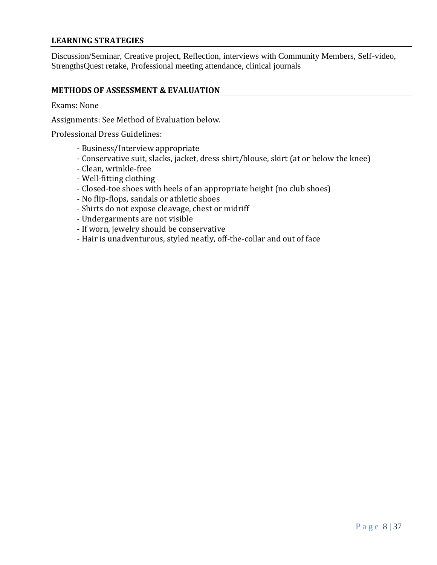#### **LEARNING STRATEGIES**

Discussion/Seminar, Creative project, Reflection, interviews with Community Members, Self-video, StrengthsQuest retake, Professional meeting attendance, clinical journals

#### **METHODS OF ASSESSMENT & EVALUATION**

Exams: None

Assignments: See Method of Evaluation below.

Professional Dress Guidelines:

- Business/Interview appropriate
- Conservative suit, slacks, jacket, dress shirt/blouse, skirt (at or below the knee)
- Clean, wrinkle-free
- Well-fitting clothing
- Closed-toe shoes with heels of an appropriate height (no club shoes)
- No flip-flops, sandals or athletic shoes
- Shirts do not expose cleavage, chest or midriff
- Undergarments are not visible
- If worn, jewelry should be conservative
- Hair is unadventurous, styled neatly, off-the-collar and out of face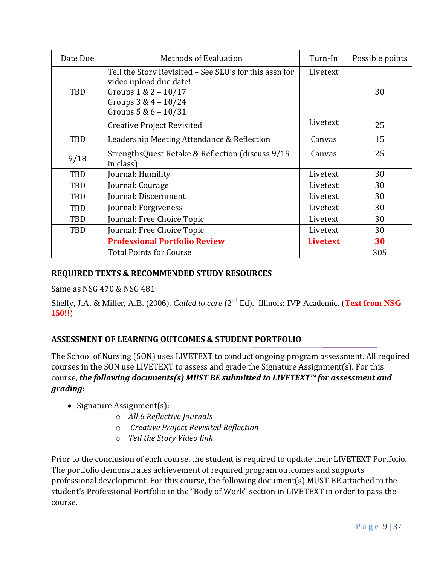| Date Due   | <b>Methods of Evaluation</b>                                                                                                                                    | Turn-In         | Possible points |
|------------|-----------------------------------------------------------------------------------------------------------------------------------------------------------------|-----------------|-----------------|
| TBD        | Tell the Story Revisited - See SLO's for this assn for<br>video upload due date!<br>Groups $1 \& 2 - 10/17$<br>Groups $3 & 4 - 10/24$<br>Groups $5 & 6 - 10/31$ | Livetext        | 30              |
|            | <b>Creative Project Revisited</b>                                                                                                                               | Livetext        | 25              |
| TBD        | Leadership Meeting Attendance & Reflection                                                                                                                      | Canvas          | 15              |
| 9/18       | StrengthsQuest Retake & Reflection (discuss 9/19)<br>in class)                                                                                                  | Canvas          | 25              |
| TBD        | Journal: Humility                                                                                                                                               | Livetext        | 30              |
| TBD        | Journal: Courage                                                                                                                                                | Livetext        | 30              |
| TBD        | Journal: Discernment                                                                                                                                            | Livetext        | 30              |
| TBD        | Journal: Forgiveness                                                                                                                                            | Livetext        | 30              |
| TBD        | Journal: Free Choice Topic                                                                                                                                      | Livetext        | 30              |
| <b>TBD</b> | Journal: Free Choice Topic                                                                                                                                      | Livetext        | 30              |
|            | <b>Professional Portfolio Review</b>                                                                                                                            | <b>Livetext</b> | 30              |
|            | <b>Total Points for Course</b>                                                                                                                                  |                 | 305             |

## **REQUIRED TEXTS & RECOMMENDED STUDY RESOURCES**

Same as NSG 470 & NSG 481:

Shelly, J.A. & Miller, A.B. (2006). *Called to care* (2<sup>nd</sup> Ed). Illinois; IVP Academic. (Text from NSG **150!!**)

## **ASSESSMENT OF LEARNING OUTCOMES & STUDENT PORTFOLIO**

The School of Nursing (SON) uses LIVETEXT to conduct ongoing program assessment. All required courses in the SON use LIVETEXT to assess and grade the Signature Assignment(s). For this course, *the following documents(s) MUST BE submitted to LIVETEXT™ for assessment and grading:* 

- Signature Assignment(s):
	- o *All 6 Reflective Journals*
	- o *Creative Project Revisited Reflection*
	- o *Tell the Story Video link*

Prior to the conclusion of each course, the student is required to update their LIVETEXT Portfolio. The portfolio demonstrates achievement of required program outcomes and supports professional development. For this course, the following document(s) MUST BE attached to the student's Professional Portfolio in the "Body of Work" section in LIVETEXT in order to pass the course.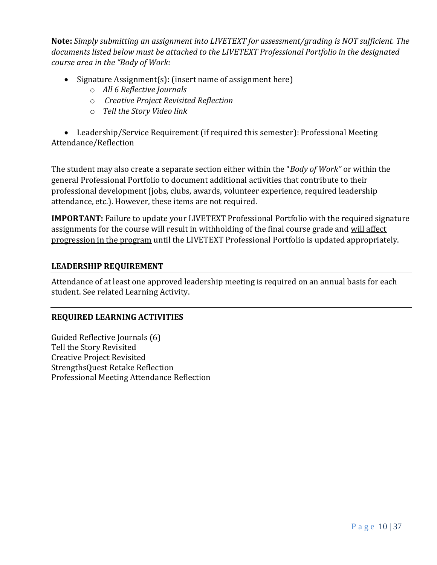**Note:** *Simply submitting an assignment into LIVETEXT for assessment/grading is NOT sufficient. The documents listed below must be attached to the LIVETEXT Professional Portfolio in the designated course area in the "Body of Work:* 

- Signature Assignment(s): (insert name of assignment here)
	- o *All 6 Reflective Journals*
	- o *Creative Project Revisited Reflection*
	- o *Tell the Story Video link*

• Leadership/Service Requirement (if required this semester): Professional Meeting Attendance/Reflection

The student may also create a separate section either within the "*Body of Work"* or within the general Professional Portfolio to document additional activities that contribute to their professional development (jobs, clubs, awards, volunteer experience, required leadership attendance, etc.). However, these items are not required.

**IMPORTANT:** Failure to update your LIVETEXT Professional Portfolio with the required signature assignments for the course will result in withholding of the final course grade and will affect progression in the program until the LIVETEXT Professional Portfolio is updated appropriately.

#### **LEADERSHIP REQUIREMENT**

Attendance of at least one approved leadership meeting is required on an annual basis for each student. See related Learning Activity.

#### **REQUIRED LEARNING ACTIVITIES**

Guided Reflective Journals (6) Tell the Story Revisited Creative Project Revisited StrengthsQuest Retake Reflection Professional Meeting Attendance Reflection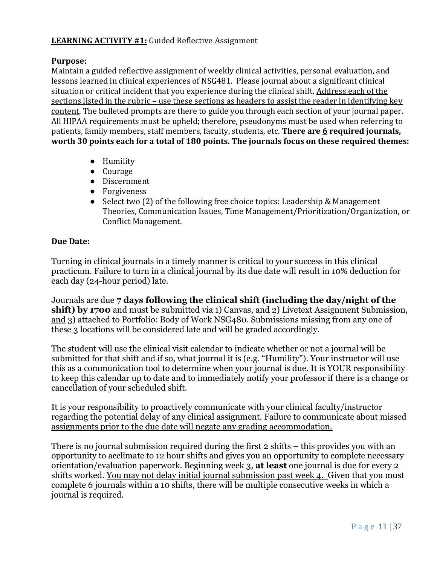## **LEARNING ACTIVITY #1:** Guided Reflective Assignment

#### **Purpose:**

Maintain a guided reflective assignment of weekly clinical activities, personal evaluation, and lessons learned in clinical experiences of NSG481. Please journal about a significant clinical situation or critical incident that you experience during the clinical shift. Address each of the sections listed in the rubric – use these sections as headers to assist the reader in identifying key content. The bulleted prompts are there to guide you through each section of your journal paper. All HIPAA requirements must be upheld; therefore, pseudonyms must be used when referring to patients, family members, staff members, faculty, students, etc. **There are 6 required journals, worth 30 points each for a total of 180 points. The journals focus on these required themes:** 

- Humility
- Courage
- Discernment
- Forgiveness
- Select two (2) of the following free choice topics: Leadership & Management Theories, Communication Issues, Time Management/Prioritization/Organization, or Conflict Management.

#### **Due Date:**

Turning in clinical journals in a timely manner is critical to your success in this clinical practicum. Failure to turn in a clinical journal by its due date will result in 10% deduction for each day (24-hour period) late.

Journals are due **7 days following the clinical shift (including the day/night of the shift) by 1700** and must be submitted via 1) Canvas, and 2) Livetext Assignment Submission, and 3) attached to Portfolio: Body of Work NSG480. Submissions missing from any one of these 3 locations will be considered late and will be graded accordingly.

The student will use the clinical visit calendar to indicate whether or not a journal will be submitted for that shift and if so, what journal it is (e.g. "Humility"). Your instructor will use this as a communication tool to determine when your journal is due. It is YOUR responsibility to keep this calendar up to date and to immediately notify your professor if there is a change or cancellation of your scheduled shift.

It is your responsibility to proactively communicate with your clinical faculty/instructor regarding the potential delay of any clinical assignment. Failure to communicate about missed assignments prior to the due date will negate any grading accommodation.

There is no journal submission required during the first 2 shifts – this provides you with an opportunity to acclimate to 12 hour shifts and gives you an opportunity to complete necessary orientation/evaluation paperwork. Beginning week 3, **at least** one journal is due for every 2 shifts worked. You may not delay initial journal submission past week 4. Given that you must complete 6 journals within a 10 shifts, there will be multiple consecutive weeks in which a journal is required.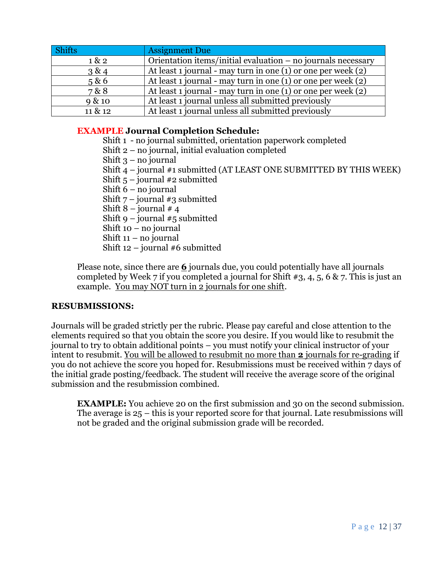| Shifts  | <b>Assignment Due</b>                                            |
|---------|------------------------------------------------------------------|
| 1 & 2   | Orientation items/initial evaluation - no journals necessary     |
| 3 & 4   | At least 1 journal - may turn in one $(1)$ or one per week $(2)$ |
| 5 & 6   | At least 1 journal - may turn in one $(1)$ or one per week $(2)$ |
| 7 & 8   | At least 1 journal - may turn in one $(1)$ or one per week $(2)$ |
| 9 & 10  | At least 1 journal unless all submitted previously               |
| 11 & 12 | At least 1 journal unless all submitted previously               |

## **EXAMPLE Journal Completion Schedule:**

- Shift 1 no journal submitted, orientation paperwork completed Shift 2 – no journal, initial evaluation completed
- Shift  $3$  no journal
- Shift 4 journal #1 submitted (AT LEAST ONE SUBMITTED BY THIS WEEK)
- Shift  $5$  journal #2 submitted
- Shift 6 no journal
- Shift  $7$  journal #3 submitted
- Shift  $8$  journal  $\#$  4
- Shift  $9$  journal  $#5$  submitted
- Shift 10 no journal
- Shift 11 no journal
- Shift 12 journal #6 submitted

Please note, since there are **6** journals due, you could potentially have all journals completed by Week 7 if you completed a journal for Shift  $\#3, 4, 5, 6 \& 7$ . This is just an example. You may NOT turn in 2 journals for one shift.

#### **RESUBMISSIONS:**

Journals will be graded strictly per the rubric. Please pay careful and close attention to the elements required so that you obtain the score you desire. If you would like to resubmit the journal to try to obtain additional points – you must notify your clinical instructor of your intent to resubmit. You will be allowed to resubmit no more than **2** journals for re-grading if you do not achieve the score you hoped for. Resubmissions must be received within 7 days of the initial grade posting/feedback. The student will receive the average score of the original submission and the resubmission combined.

**EXAMPLE:** You achieve 20 on the first submission and 30 on the second submission. The average is 25 – this is your reported score for that journal. Late resubmissions will not be graded and the original submission grade will be recorded.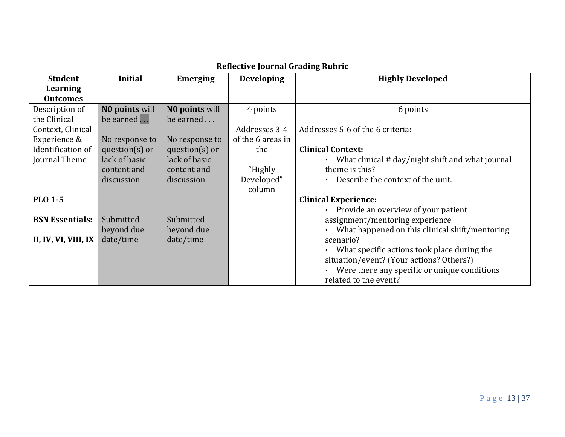| <b>Student</b>         | <b>Initial</b>    | <b>Emerging</b>   | <b>Developing</b> | <b>Highly Developed</b>                          |
|------------------------|-------------------|-------------------|-------------------|--------------------------------------------------|
| Learning               |                   |                   |                   |                                                  |
| <b>Outcomes</b>        |                   |                   |                   |                                                  |
| Description of         | NO points will    | NO points will    | 4 points          | 6 points                                         |
| the Clinical           | be earned         | be earned         |                   |                                                  |
| Context, Clinical      |                   |                   | Addresses 3-4     | Addresses 5-6 of the 6 criteria:                 |
| Experience &           | No response to    | No response to    | of the 6 areas in |                                                  |
| Identification of      | question $(s)$ or | question $(s)$ or | the               | <b>Clinical Context:</b>                         |
| Journal Theme          | lack of basic     | lack of basic     |                   | What clinical # day/night shift and what journal |
|                        | content and       | content and       | "Highly           | theme is this?                                   |
|                        | discussion        | discussion        | Developed"        | Describe the context of the unit.                |
|                        |                   |                   | column            |                                                  |
| <b>PLO 1-5</b>         |                   |                   |                   | <b>Clinical Experience:</b>                      |
|                        |                   |                   |                   | Provide an overview of your patient              |
| <b>BSN Essentials:</b> | Submitted         | Submitted         |                   | assignment/mentoring experience                  |
|                        | beyond due        | beyond due        |                   | What happened on this clinical shift/mentoring   |
| II, IV, VI, VIII, IX   | date/time         | date/time         |                   | scenario?                                        |
|                        |                   |                   |                   | What specific actions took place during the      |
|                        |                   |                   |                   | situation/event? (Your actions? Others?)         |
|                        |                   |                   |                   | Were there any specific or unique conditions     |
|                        |                   |                   |                   | related to the event?                            |

# **Reflective Journal Grading Rubric**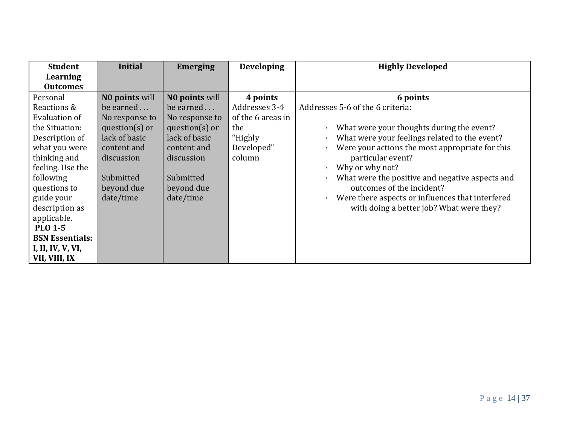| <b>Student</b>         | <b>Initial</b>     | <b>Emerging</b>    | <b>Developing</b> | <b>Highly Developed</b>                                       |
|------------------------|--------------------|--------------------|-------------------|---------------------------------------------------------------|
| Learning               |                    |                    |                   |                                                               |
| <b>Outcomes</b>        |                    |                    |                   |                                                               |
| Personal               | NO points will     | NO points will     | 4 points          | 6 points                                                      |
| Reactions &            | be earned          | be earned          | Addresses 3-4     | Addresses 5-6 of the 6 criteria:                              |
| Evaluation of          | No response to     | No response to     | of the 6 areas in |                                                               |
| the Situation:         | question( $s$ ) or | question( $s$ ) or | the               | What were your thoughts during the event?<br>$\bullet$        |
| Description of         | lack of basic      | lack of basic      | "Highly           | What were your feelings related to the event?<br>$\bullet$    |
| what you were          | content and        | content and        | Developed"        | Were your actions the most appropriate for this<br>$\bullet$  |
| thinking and           | discussion         | discussion         | column            | particular event?                                             |
| feeling. Use the       |                    |                    |                   | Why or why not?<br>$\bullet$                                  |
| following              | Submitted          | Submitted          |                   | What were the positive and negative aspects and<br>$\bullet$  |
| questions to           | beyond due         | beyond due         |                   | outcomes of the incident?                                     |
| guide your             | date/time          | date/time          |                   | Were there aspects or influences that interfered<br>$\bullet$ |
| description as         |                    |                    |                   | with doing a better job? What were they?                      |
| applicable.            |                    |                    |                   |                                                               |
| <b>PLO 1-5</b>         |                    |                    |                   |                                                               |
| <b>BSN Essentials:</b> |                    |                    |                   |                                                               |
| I, II, IV, V, VI,      |                    |                    |                   |                                                               |
| VII, VIII, IX          |                    |                    |                   |                                                               |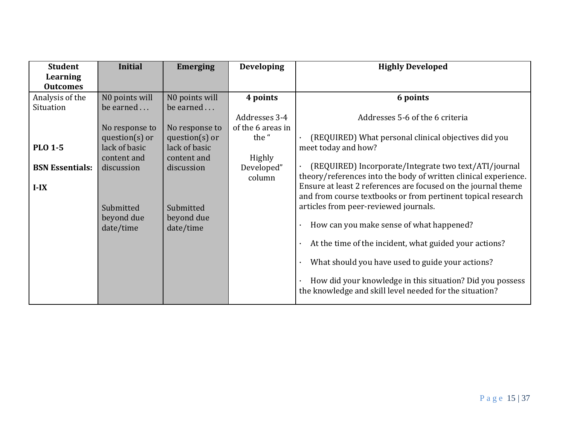| <b>Student</b>         | <b>Initial</b>          | <b>Emerging</b>         | <b>Developing</b> | <b>Highly Developed</b>                                                                                              |
|------------------------|-------------------------|-------------------------|-------------------|----------------------------------------------------------------------------------------------------------------------|
| Learning               |                         |                         |                   |                                                                                                                      |
| <b>Outcomes</b>        |                         |                         |                   |                                                                                                                      |
| Analysis of the        | NO points will          | NO points will          | 4 points          | 6 points                                                                                                             |
| Situation              | be earned               | be earned               |                   |                                                                                                                      |
|                        |                         |                         | Addresses 3-4     | Addresses 5-6 of the 6 criteria                                                                                      |
|                        | No response to          | No response to          | of the 6 areas in |                                                                                                                      |
|                        | question $(s)$ or       | question( $s$ ) or      | the "             | (REQUIRED) What personal clinical objectives did you                                                                 |
| <b>PLO 1-5</b>         | lack of basic           | lack of basic           |                   | meet today and how?                                                                                                  |
|                        | content and             | content and             | Highly            |                                                                                                                      |
| <b>BSN Essentials:</b> | discussion              | discussion              | Developed"        | (REQUIRED) Incorporate/Integrate two text/ATI/journal                                                                |
|                        |                         |                         | column            | theory/references into the body of written clinical experience.                                                      |
| $I-IX$                 |                         |                         |                   | Ensure at least 2 references are focused on the journal theme                                                        |
|                        |                         |                         |                   | and from course textbooks or from pertinent topical research                                                         |
|                        | Submitted               | Submitted               |                   | articles from peer-reviewed journals.                                                                                |
|                        | beyond due<br>date/time | beyond due<br>date/time |                   | How can you make sense of what happened?                                                                             |
|                        |                         |                         |                   | At the time of the incident, what guided your actions?<br>$\bullet$                                                  |
|                        |                         |                         |                   | What should you have used to guide your actions?                                                                     |
|                        |                         |                         |                   | How did your knowledge in this situation? Did you possess<br>the knowledge and skill level needed for the situation? |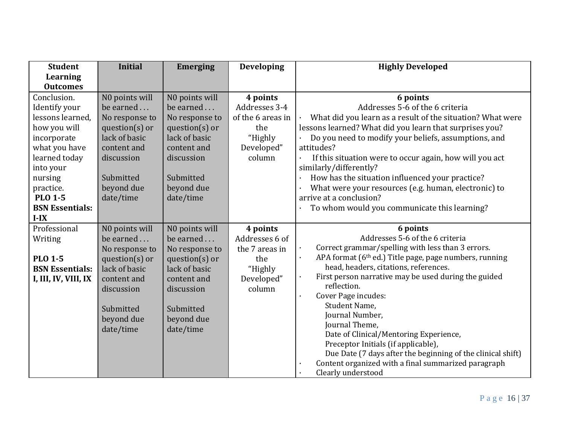| <b>Student</b>                                                                                                                                                                                               | <b>Initial</b>                                                                                                                                           | <b>Emerging</b>                                                                                                                                          | <b>Developing</b>                                                                        | <b>Highly Developed</b>                                                                                                                                                                                                                                                                                                                                                                                                                                                                                                                                                                                                  |
|--------------------------------------------------------------------------------------------------------------------------------------------------------------------------------------------------------------|----------------------------------------------------------------------------------------------------------------------------------------------------------|----------------------------------------------------------------------------------------------------------------------------------------------------------|------------------------------------------------------------------------------------------|--------------------------------------------------------------------------------------------------------------------------------------------------------------------------------------------------------------------------------------------------------------------------------------------------------------------------------------------------------------------------------------------------------------------------------------------------------------------------------------------------------------------------------------------------------------------------------------------------------------------------|
| <b>Learning</b>                                                                                                                                                                                              |                                                                                                                                                          |                                                                                                                                                          |                                                                                          |                                                                                                                                                                                                                                                                                                                                                                                                                                                                                                                                                                                                                          |
| <b>Outcomes</b>                                                                                                                                                                                              |                                                                                                                                                          |                                                                                                                                                          |                                                                                          |                                                                                                                                                                                                                                                                                                                                                                                                                                                                                                                                                                                                                          |
| Conclusion.<br>Identify your<br>lessons learned,<br>how you will<br>incorporate<br>what you have<br>learned today<br>into your<br>nursing<br>practice.<br><b>PLO 1-5</b><br><b>BSN Essentials:</b><br>$I-IX$ | N0 points will<br>be earned<br>No response to<br>question $(s)$ or<br>lack of basic<br>content and<br>discussion<br>Submitted<br>beyond due<br>date/time | NO points will<br>be earned<br>No response to<br>question $(s)$ or<br>lack of basic<br>content and<br>discussion<br>Submitted<br>beyond due<br>date/time | 4 points<br>Addresses 3-4<br>of the 6 areas in<br>the<br>"Highly<br>Developed"<br>column | 6 points<br>Addresses 5-6 of the 6 criteria<br>What did you learn as a result of the situation? What were<br>lessons learned? What did you learn that surprises you?<br>Do you need to modify your beliefs, assumptions, and<br>attitudes?<br>If this situation were to occur again, how will you act<br>similarly/differently?<br>How has the situation influenced your practice?<br>What were your resources (e.g. human, electronic) to<br>arrive at a conclusion?<br>To whom would you communicate this learning?                                                                                                    |
| Professional<br>Writing<br><b>PLO 1-5</b><br><b>BSN Essentials:</b><br>I, III, IV, VIII, IX                                                                                                                  | N0 points will<br>be earned<br>No response to<br>question $(s)$ or<br>lack of basic<br>content and<br>discussion<br>Submitted<br>beyond due<br>date/time | N0 points will<br>be earned<br>No response to<br>$question(s)$ or<br>lack of basic<br>content and<br>discussion<br>Submitted<br>beyond due<br>date/time  | 4 points<br>Addresses 6 of<br>the 7 areas in<br>the<br>"Highly<br>Developed"<br>column   | 6 points<br>Addresses 5-6 of the 6 criteria<br>Correct grammar/spelling with less than 3 errors.<br>APA format (6 <sup>th</sup> ed.) Title page, page numbers, running<br>$\ddot{\phantom{0}}$<br>head, headers, citations, references.<br>First person narrative may be used during the guided<br>reflection.<br>Cover Page incudes:<br>Student Name,<br>Journal Number,<br>Journal Theme,<br>Date of Clinical/Mentoring Experience,<br>Preceptor Initials (if applicable),<br>Due Date (7 days after the beginning of the clinical shift)<br>Content organized with a final summarized paragraph<br>Clearly understood |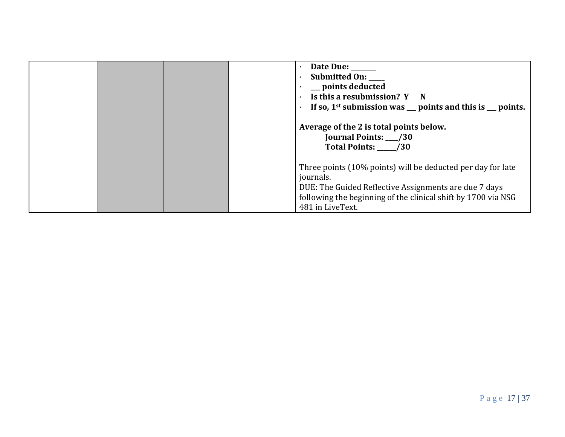|  | Date Due: ______<br>Submitted On:<br>points deducted<br>Is this a resubmission? Y N<br>$\bullet$<br>If so, $1st$ submission was $\_\_$ points and this is $\_\_$ points.                                               |
|--|------------------------------------------------------------------------------------------------------------------------------------------------------------------------------------------------------------------------|
|  | Average of the 2 is total points below.<br>Journal Points: __/30<br>Total Points: 730                                                                                                                                  |
|  | Three points (10% points) will be deducted per day for late<br>journals.<br>DUE: The Guided Reflective Assignments are due 7 days<br>following the beginning of the clinical shift by 1700 via NSG<br>481 in LiveText. |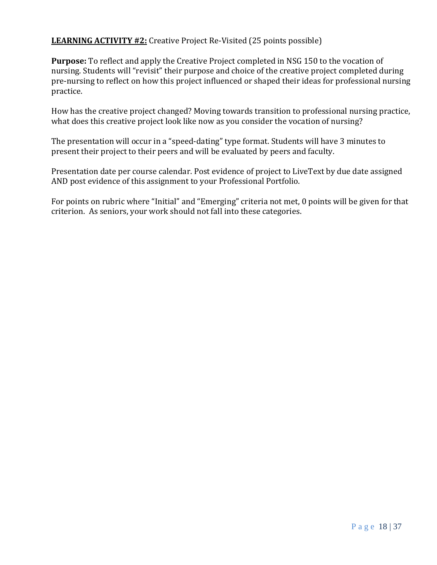## **LEARNING ACTIVITY #2:** Creative Project Re-Visited (25 points possible)

**Purpose:** To reflect and apply the Creative Project completed in NSG 150 to the vocation of nursing. Students will "revisit" their purpose and choice of the creative project completed during pre-nursing to reflect on how this project influenced or shaped their ideas for professional nursing practice.

How has the creative project changed? Moving towards transition to professional nursing practice, what does this creative project look like now as you consider the vocation of nursing?

The presentation will occur in a "speed-dating" type format. Students will have 3 minutes to present their project to their peers and will be evaluated by peers and faculty.

Presentation date per course calendar. Post evidence of project to LiveText by due date assigned AND post evidence of this assignment to your Professional Portfolio.

For points on rubric where "Initial" and "Emerging" criteria not met, 0 points will be given for that criterion. As seniors, your work should not fall into these categories.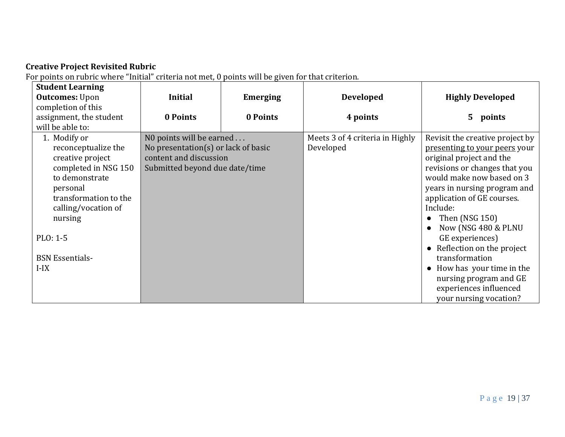## **Creative Project Revisited Rubric**

For points on rubric where "Initial" criteria not met, 0 points will be given for that criterion.

| <b>Student Learning</b> |                                     |                 |                                 |                                 |
|-------------------------|-------------------------------------|-----------------|---------------------------------|---------------------------------|
| <b>Outcomes: Upon</b>   | <b>Initial</b>                      | <b>Emerging</b> | <b>Developed</b>                | <b>Highly Developed</b>         |
| completion of this      |                                     |                 |                                 |                                 |
| assignment, the student | 0 Points                            | 0 Points        | 4 points                        | $5 -$<br>points                 |
| will be able to:        |                                     |                 |                                 |                                 |
| 1. Modify or            | NO points will be earned            |                 | Meets 3 of 4 criteria in Highly | Revisit the creative project by |
| reconceptualize the     | No presentation(s) or lack of basic |                 | Developed                       | presenting to your peers your   |
| creative project        | content and discussion              |                 |                                 | original project and the        |
| completed in NSG 150    | Submitted beyond due date/time      |                 |                                 | revisions or changes that you   |
| to demonstrate          |                                     |                 |                                 | would make now based on 3       |
| personal                |                                     |                 |                                 | years in nursing program and    |
| transformation to the   |                                     |                 |                                 | application of GE courses.      |
| calling/vocation of     |                                     |                 |                                 | Include:                        |
| nursing                 |                                     |                 |                                 | Then (NSG 150)                  |
|                         |                                     |                 |                                 | Now (NSG 480 & PLNU             |
| PLO: 1-5                |                                     |                 |                                 | GE experiences)                 |
|                         |                                     |                 |                                 | Reflection on the project       |
| <b>BSN</b> Essentials-  |                                     |                 |                                 | transformation                  |
| $I-IX$                  |                                     |                 |                                 | How has your time in the        |
|                         |                                     |                 |                                 | nursing program and GE          |
|                         |                                     |                 |                                 | experiences influenced          |
|                         |                                     |                 |                                 | your nursing vocation?          |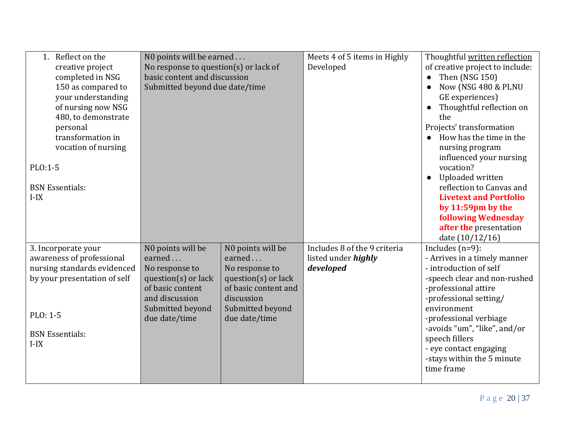| 1. Reflect on the<br>creative project<br>completed in NSG<br>150 as compared to<br>your understanding<br>of nursing now NSG<br>480, to demonstrate<br>personal<br>transformation in<br>vocation of nursing<br>PLO:1-5<br><b>BSN Essentials:</b><br>$I-IX$ | N0 points will be earned<br>No response to question(s) or lack of<br>basic content and discussion<br>Submitted beyond due date/time             |                                                                                                                                                 | Meets 4 of 5 items in Highly<br>Developed                               | Thoughtful written reflection<br>of creative project to include:<br>Then (NSG 150)<br>$\bullet$<br>Now (NSG 480 & PLNU<br>$\bullet$<br>GE experiences)<br>Thoughtful reflection on<br>the<br>Projects' transformation<br>How has the time in the<br>nursing program<br>influenced your nursing<br>vocation?<br>Uploaded written<br>$\bullet$<br>reflection to Canvas and<br><b>Livetext and Portfolio</b><br>by 11:59pm by the |
|-----------------------------------------------------------------------------------------------------------------------------------------------------------------------------------------------------------------------------------------------------------|-------------------------------------------------------------------------------------------------------------------------------------------------|-------------------------------------------------------------------------------------------------------------------------------------------------|-------------------------------------------------------------------------|--------------------------------------------------------------------------------------------------------------------------------------------------------------------------------------------------------------------------------------------------------------------------------------------------------------------------------------------------------------------------------------------------------------------------------|
|                                                                                                                                                                                                                                                           |                                                                                                                                                 |                                                                                                                                                 |                                                                         | <b>following Wednesday</b><br>after the presentation<br>date (10/12/16)                                                                                                                                                                                                                                                                                                                                                        |
| 3. Incorporate your<br>awareness of professional<br>nursing standards evidenced<br>by your presentation of self<br>PLO: 1-5<br><b>BSN</b> Essentials:<br>$I-IX$                                                                                           | N0 points will be<br>earned<br>No response to<br>question(s) or lack<br>of basic content<br>and discussion<br>Submitted beyond<br>due date/time | N0 points will be<br>earned<br>No response to<br>question(s) or lack<br>of basic content and<br>discussion<br>Submitted beyond<br>due date/time | Includes 8 of the 9 criteria<br>listed under <i>highly</i><br>developed | Includes $(n=9)$ :<br>- Arrives in a timely manner<br>- introduction of self<br>-speech clear and non-rushed<br>-professional attire<br>-professional setting/<br>environment<br>-professional verbiage<br>-avoids "um", "like", and/or<br>speech fillers<br>- eye contact engaging<br>-stays within the 5 minute<br>time frame                                                                                                |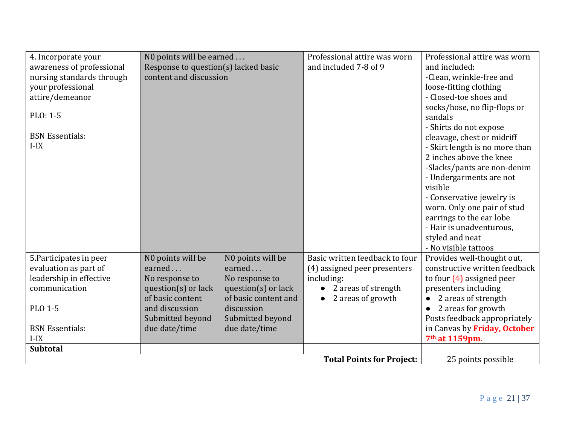| 4. Incorporate your       | N0 points will be earned             |                         | Professional attire was worn     | Professional attire was worn   |
|---------------------------|--------------------------------------|-------------------------|----------------------------------|--------------------------------|
| awareness of professional | Response to question(s) lacked basic |                         | and included 7-8 of 9            | and included:                  |
| nursing standards through | content and discussion               |                         |                                  | -Clean, wrinkle-free and       |
| your professional         |                                      |                         |                                  | loose-fitting clothing         |
| attire/demeanor           |                                      |                         |                                  | - Closed-toe shoes and         |
|                           |                                      |                         |                                  | socks/hose, no flip-flops or   |
| PLO: 1-5                  |                                      |                         |                                  | sandals                        |
|                           |                                      |                         |                                  | - Shirts do not expose         |
| <b>BSN Essentials:</b>    |                                      |                         |                                  | cleavage, chest or midriff     |
| $I-IX$                    |                                      |                         |                                  | - Skirt length is no more than |
|                           |                                      |                         |                                  | 2 inches above the knee        |
|                           |                                      |                         |                                  | -Slacks/pants are non-denim    |
|                           |                                      |                         |                                  | - Undergarments are not        |
|                           |                                      |                         |                                  | visible                        |
|                           |                                      |                         |                                  | - Conservative jewelry is      |
|                           |                                      |                         |                                  | worn. Only one pair of stud    |
|                           |                                      |                         |                                  | earrings to the ear lobe       |
|                           |                                      |                         |                                  | - Hair is unadventurous,       |
|                           |                                      |                         |                                  | styled and neat                |
|                           |                                      |                         |                                  | - No visible tattoos           |
| 5. Participates in peer   | NO points will be                    | NO points will be       | Basic written feedback to four   | Provides well-thought out,     |
| evaluation as part of     | earned                               | earned                  | (4) assigned peer presenters     | constructive written feedback  |
| leadership in effective   | No response to                       | No response to          | including:                       | to four $(4)$ assigned peer    |
| communication             | question( $s$ ) or lack              | question( $s$ ) or lack | 2 areas of strength              | presenters including           |
|                           | of basic content                     | of basic content and    | 2 areas of growth                | 2 areas of strength            |
| <b>PLO 1-5</b>            | and discussion                       | discussion              |                                  | 2 areas for growth             |
|                           | Submitted beyond                     | Submitted beyond        |                                  | Posts feedback appropriately   |
| <b>BSN</b> Essentials:    | due date/time                        | due date/time           |                                  | in Canvas by Friday, October   |
| $I-IX$                    |                                      |                         |                                  | 7 <sup>th</sup> at 1159pm.     |
| <b>Subtotal</b>           |                                      |                         |                                  |                                |
|                           |                                      |                         | <b>Total Points for Project:</b> | 25 points possible             |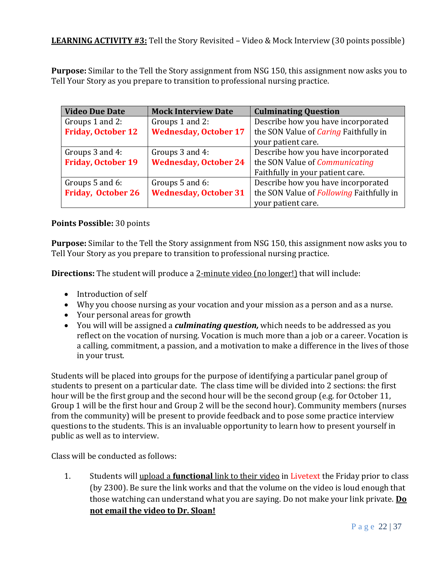**Purpose:** Similar to the Tell the Story assignment from NSG 150, this assignment now asks you to Tell Your Story as you prepare to transition to professional nursing practice.

| <b>Video Due Date</b>     | <b>Mock Interview Date</b>   | <b>Culminating Question</b>                     |
|---------------------------|------------------------------|-------------------------------------------------|
| Groups 1 and 2:           | Groups 1 and 2:              | Describe how you have incorporated              |
| <b>Friday, October 12</b> | <b>Wednesday, October 17</b> | the SON Value of <i>Caring</i> Faithfully in    |
|                           |                              | your patient care.                              |
| Groups 3 and 4:           | Groups 3 and 4:              | Describe how you have incorporated              |
| <b>Friday, October 19</b> | <b>Wednesday, October 24</b> | the SON Value of Communicating                  |
|                           |                              | Faithfully in your patient care.                |
| Groups 5 and 6:           | Groups 5 and 6:              | Describe how you have incorporated              |
| <b>Friday, October 26</b> | <b>Wednesday, October 31</b> | the SON Value of <i>Following</i> Faithfully in |
|                           |                              | your patient care.                              |

#### **Points Possible:** 30 points

**Purpose:** Similar to the Tell the Story assignment from NSG 150, this assignment now asks you to Tell Your Story as you prepare to transition to professional nursing practice.

**Directions:** The student will produce a 2-minute video (no longer!) that will include:

- Introduction of self
- Why you choose nursing as your vocation and your mission as a person and as a nurse.
- Your personal areas for growth
- You will will be assigned a *culminating question,* which needs to be addressed as you reflect on the vocation of nursing. Vocation is much more than a job or a career. Vocation is a calling, commitment, a passion, and a motivation to make a difference in the lives of those in your trust.

Students will be placed into groups for the purpose of identifying a particular panel group of students to present on a particular date. The class time will be divided into 2 sections: the first hour will be the first group and the second hour will be the second group (e.g. for October 11, Group 1 will be the first hour and Group 2 will be the second hour). Community members (nurses from the community) will be present to provide feedback and to pose some practice interview questions to the students. This is an invaluable opportunity to learn how to present yourself in public as well as to interview.

Class will be conducted as follows:

1. Students will upload a **functional** link to their video in Livetext the Friday prior to class (by 2300). Be sure the link works and that the volume on the video is loud enough that those watching can understand what you are saying. Do not make your link private. **Do not email the video to Dr. Sloan!**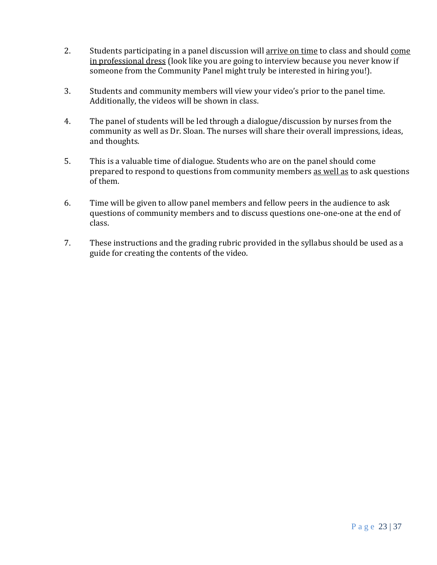- 2. Students participating in a panel discussion will arrive on time to class and should come in professional dress (look like you are going to interview because you never know if someone from the Community Panel might truly be interested in hiring you!).
- 3. Students and community members will view your video's prior to the panel time. Additionally, the videos will be shown in class.
- 4. The panel of students will be led through a dialogue/discussion by nurses from the community as well as Dr. Sloan. The nurses will share their overall impressions, ideas, and thoughts.
- 5. This is a valuable time of dialogue. Students who are on the panel should come prepared to respond to questions from community members as well as to ask questions of them.
- 6. Time will be given to allow panel members and fellow peers in the audience to ask questions of community members and to discuss questions one-one-one at the end of class.
- 7. These instructions and the grading rubric provided in the syllabus should be used as a guide for creating the contents of the video.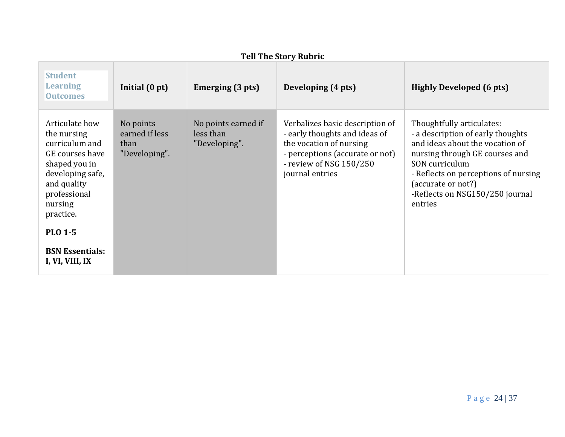| Ten The Story Rubric                                                                                                                                           |                                                      |                                                   |                                                                                                                                                                              |                                                                                                                                                                                                                                                                   |  |
|----------------------------------------------------------------------------------------------------------------------------------------------------------------|------------------------------------------------------|---------------------------------------------------|------------------------------------------------------------------------------------------------------------------------------------------------------------------------------|-------------------------------------------------------------------------------------------------------------------------------------------------------------------------------------------------------------------------------------------------------------------|--|
| <b>Student</b><br><b>Learning</b><br><b>Outcomes</b>                                                                                                           | Initial $(0 pt)$                                     | Emerging (3 pts)                                  | Developing (4 pts)                                                                                                                                                           | <b>Highly Developed (6 pts)</b>                                                                                                                                                                                                                                   |  |
| Articulate how<br>the nursing<br>curriculum and<br>GE courses have<br>shaped you in<br>developing safe,<br>and quality<br>professional<br>nursing<br>practice. | No points<br>earned if less<br>than<br>"Developing". | No points earned if<br>less than<br>"Developing". | Verbalizes basic description of<br>- early thoughts and ideas of<br>the vocation of nursing<br>- perceptions (accurate or not)<br>- review of NSG 150/250<br>journal entries | Thoughtfully articulates:<br>- a description of early thoughts<br>and ideas about the vocation of<br>nursing through GE courses and<br>SON curriculum<br>- Reflects on perceptions of nursing<br>(accurate or not?)<br>-Reflects on NSG150/250 journal<br>entries |  |
| <b>PLO 1-5</b>                                                                                                                                                 |                                                      |                                                   |                                                                                                                                                                              |                                                                                                                                                                                                                                                                   |  |
| <b>BSN Essentials:</b><br>I, VI, VIII, IX                                                                                                                      |                                                      |                                                   |                                                                                                                                                                              |                                                                                                                                                                                                                                                                   |  |

## **Tell The Story Rubric**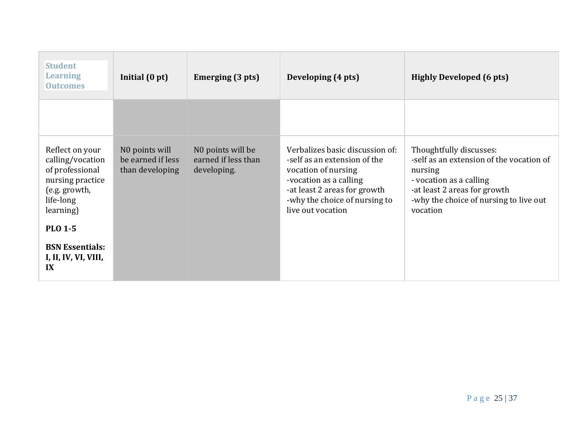| <b>Student</b><br><b>Learning</b><br><b>Outcomes</b>                                                                  | Initial (0 pt)                                         | Emerging (3 pts)                                        | Developing (4 pts)                                                                                                                                                                                     | <b>Highly Developed (6 pts)</b>                                                                                                                                                                 |
|-----------------------------------------------------------------------------------------------------------------------|--------------------------------------------------------|---------------------------------------------------------|--------------------------------------------------------------------------------------------------------------------------------------------------------------------------------------------------------|-------------------------------------------------------------------------------------------------------------------------------------------------------------------------------------------------|
|                                                                                                                       |                                                        |                                                         |                                                                                                                                                                                                        |                                                                                                                                                                                                 |
| Reflect on your<br>calling/vocation<br>of professional<br>nursing practice<br>(e.g. growth,<br>life-long<br>learning) | NO points will<br>be earned if less<br>than developing | NO points will be<br>earned if less than<br>developing. | Verbalizes basic discussion of:<br>-self as an extension of the<br>vocation of nursing<br>-vocation as a calling<br>-at least 2 areas for growth<br>-why the choice of nursing to<br>live out vocation | Thoughtfully discusses:<br>-self as an extension of the vocation of<br>nursing<br>- vocation as a calling<br>-at least 2 areas for growth<br>-why the choice of nursing to live out<br>vocation |
| <b>PLO 1-5</b><br><b>BSN</b> Essentials:<br>I, II, IV, VI, VIII,                                                      |                                                        |                                                         |                                                                                                                                                                                                        |                                                                                                                                                                                                 |
| IX                                                                                                                    |                                                        |                                                         |                                                                                                                                                                                                        |                                                                                                                                                                                                 |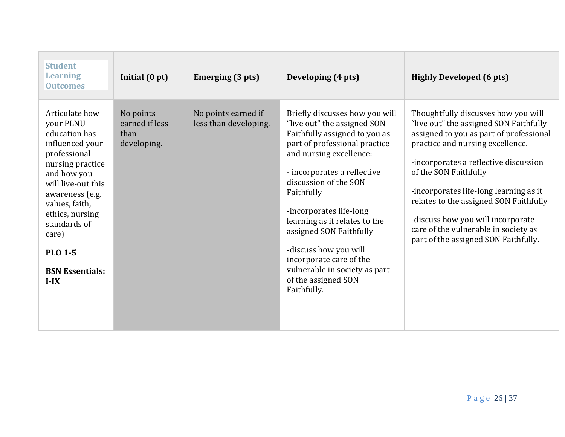| <b>Student</b><br><b>Learning</b><br><b>Outcomes</b>                                                                                                                                                                                                                            | Initial (0 pt)                                     | Emerging (3 pts)                             | Developing (4 pts)                                                                                                                                                                                                                                                                                                                                                                                                                                 | <b>Highly Developed (6 pts)</b>                                                                                                                                                                                                                                                                                                                                                                                                         |
|---------------------------------------------------------------------------------------------------------------------------------------------------------------------------------------------------------------------------------------------------------------------------------|----------------------------------------------------|----------------------------------------------|----------------------------------------------------------------------------------------------------------------------------------------------------------------------------------------------------------------------------------------------------------------------------------------------------------------------------------------------------------------------------------------------------------------------------------------------------|-----------------------------------------------------------------------------------------------------------------------------------------------------------------------------------------------------------------------------------------------------------------------------------------------------------------------------------------------------------------------------------------------------------------------------------------|
| Articulate how<br>your PLNU<br>education has<br>influenced your<br>professional<br>nursing practice<br>and how you<br>will live-out this<br>awareness (e.g.<br>values, faith,<br>ethics, nursing<br>standards of<br>care)<br><b>PLO 1-5</b><br><b>BSN Essentials:</b><br>$I-IX$ | No points<br>earned if less<br>than<br>developing. | No points earned if<br>less than developing. | Briefly discusses how you will<br>"live out" the assigned SON<br>Faithfully assigned to you as<br>part of professional practice<br>and nursing excellence:<br>- incorporates a reflective<br>discussion of the SON<br>Faithfully<br>-incorporates life-long<br>learning as it relates to the<br>assigned SON Faithfully<br>-discuss how you will<br>incorporate care of the<br>vulnerable in society as part<br>of the assigned SON<br>Faithfully. | Thoughtfully discusses how you will<br>"live out" the assigned SON Faithfully<br>assigned to you as part of professional<br>practice and nursing excellence.<br>-incorporates a reflective discussion<br>of the SON Faithfully<br>-incorporates life-long learning as it<br>relates to the assigned SON Faithfully<br>-discuss how you will incorporate<br>care of the vulnerable in society as<br>part of the assigned SON Faithfully. |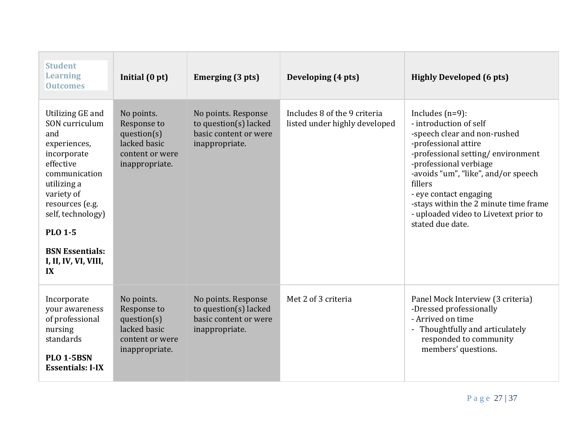| <b>Student</b><br><b>Learning</b><br><b>Outcomes</b>                                                                                                                                                                                                                     | Initial (0 pt)                                                                                | Emerging (3 pts)                                                                        | Developing (4 pts)                                            | <b>Highly Developed (6 pts)</b>                                                                                                                                                                                                                                                                                                                       |
|--------------------------------------------------------------------------------------------------------------------------------------------------------------------------------------------------------------------------------------------------------------------------|-----------------------------------------------------------------------------------------------|-----------------------------------------------------------------------------------------|---------------------------------------------------------------|-------------------------------------------------------------------------------------------------------------------------------------------------------------------------------------------------------------------------------------------------------------------------------------------------------------------------------------------------------|
| Utilizing GE and<br>SON curriculum<br>and<br>experiences,<br>incorporate<br>effective<br>communication<br>utilizing a<br>variety of<br>resources (e.g.<br>self, technology)<br><b>PLO 1-5</b><br><b>BSN</b> Essentials:<br>I, II, IV, VI, VIII,<br>$\mathbf{I}$ <b>X</b> | No points.<br>Response to<br>question(s)<br>lacked basic<br>content or were<br>inappropriate. | No points. Response<br>to question(s) lacked<br>basic content or were<br>inappropriate. | Includes 8 of the 9 criteria<br>listed under highly developed | Includes $(n=9)$ :<br>- introduction of self<br>-speech clear and non-rushed<br>-professional attire<br>-professional setting/environment<br>-professional verbiage<br>-avoids "um", "like", and/or speech<br>fillers<br>- eye contact engaging<br>-stays within the 2 minute time frame<br>- uploaded video to Livetext prior to<br>stated due date. |
| Incorporate<br>your awareness<br>of professional<br>nursing<br>standards<br><b>PLO 1-5BSN</b><br><b>Essentials: I-IX</b>                                                                                                                                                 | No points.<br>Response to<br>question(s)<br>lacked basic<br>content or were<br>inappropriate. | No points. Response<br>to question(s) lacked<br>basic content or were<br>inappropriate. | Met 2 of 3 criteria                                           | Panel Mock Interview (3 criteria)<br>-Dressed professionally<br>- Arrived on time<br>- Thoughtfully and articulately<br>responded to community<br>members' questions.                                                                                                                                                                                 |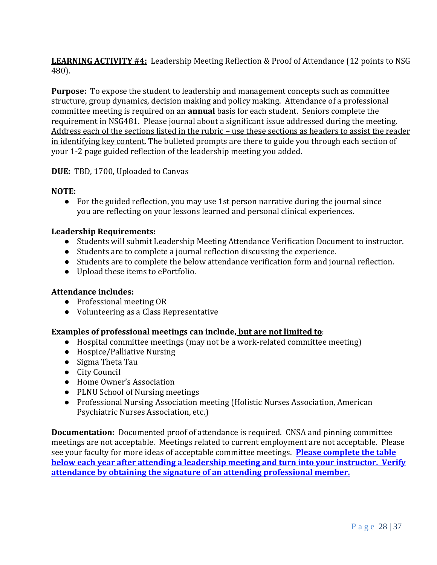**LEARNING ACTIVITY #4:** Leadership Meeting Reflection & Proof of Attendance (12 points to NSG 480).

**Purpose:** To expose the student to leadership and management concepts such as committee structure, group dynamics, decision making and policy making. Attendance of a professional committee meeting is required on an **annual** basis for each student. Seniors complete the requirement in NSG481. Please journal about a significant issue addressed during the meeting. Address each of the sections listed in the rubric – use these sections as headers to assist the reader in identifying key content. The bulleted prompts are there to guide you through each section of your 1-2 page guided reflection of the leadership meeting you added.

**DUE:** TBD, 1700, Uploaded to Canvas

#### **NOTE:**

• For the guided reflection, you may use 1st person narrative during the journal since you are reflecting on your lessons learned and personal clinical experiences.

#### **Leadership Requirements:**

- Students will submit Leadership Meeting Attendance Verification Document to instructor.
- Students are to complete a journal reflection discussing the experience.
- Students are to complete the below attendance verification form and journal reflection.
- Upload these items to ePortfolio.

#### **Attendance includes:**

- Professional meeting OR
- Volunteering as a Class Representative

#### **Examples of professional meetings can include, but are not limited to**:

- Hospital committee meetings (may not be a work-related committee meeting)
- Hospice/Palliative Nursing
- Sigma Theta Tau
- City Council
- Home Owner's Association
- PLNU School of Nursing meetings
- Professional Nursing Association meeting (Holistic Nurses Association, American Psychiatric Nurses Association, etc.)

**Documentation:** Documented proof of attendance is required. CNSA and pinning committee meetings are not acceptable. Meetings related to current employment are not acceptable. Please see your faculty for more ideas of acceptable committee meetings. **Please complete the table below each year after attending a leadership meeting and turn into your instructor. Verify attendance by obtaining the signature of an attending professional member.**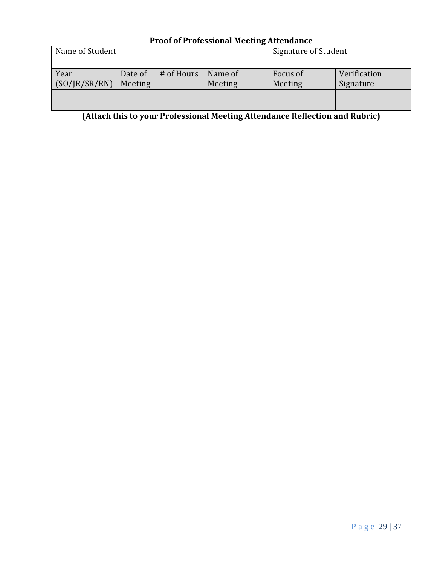#### **Proof of Professional Meeting Attendance** Name of Student Signature of Student Year (SO/JR/SR/RN) Date of Meeting # of Hours | Name of Meeting Focus of Meeting Verification Signature

**(Attach this to your Professional Meeting Attendance Reflection and Rubric)**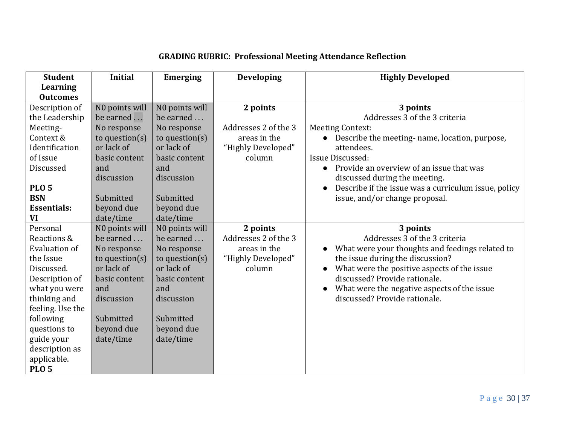| <b>Student</b>     | <b>Initial</b>    | <b>Emerging</b>   | <b>Developing</b>    | <b>Highly Developed</b>                              |
|--------------------|-------------------|-------------------|----------------------|------------------------------------------------------|
| Learning           |                   |                   |                      |                                                      |
| <b>Outcomes</b>    |                   |                   |                      |                                                      |
| Description of     | N0 points will    | NO points will    | 2 points             | 3 points                                             |
| the Leadership     | be earned         | be earned         |                      | Addresses 3 of the 3 criteria                        |
| Meeting-           | No response       | No response       | Addresses 2 of the 3 | <b>Meeting Context:</b>                              |
| Context &          | to question $(s)$ | to question $(s)$ | areas in the         | Describe the meeting- name, location, purpose,       |
| Identification     | or lack of        | or lack of        | "Highly Developed"   | attendees.                                           |
| of Issue           | basic content     | basic content     | column               | Issue Discussed:                                     |
| Discussed          | and               | and               |                      | Provide an overview of an issue that was             |
|                    | discussion        | discussion        |                      | discussed during the meeting.                        |
| <b>PLO 5</b>       |                   |                   |                      | Describe if the issue was a curriculum issue, policy |
| <b>BSN</b>         | Submitted         | Submitted         |                      | issue, and/or change proposal.                       |
| <b>Essentials:</b> | beyond due        | beyond due        |                      |                                                      |
| VI                 | date/time         | date/time         |                      |                                                      |
| Personal           | N0 points will    | N0 points will    | 2 points             | 3 points                                             |
| Reactions &        | be earned         | be earned         | Addresses 2 of the 3 | Addresses 3 of the 3 criteria                        |
| Evaluation of      | No response       | No response       | areas in the         | What were your thoughts and feedings related to      |
| the Issue          | to question(s)    | to question $(s)$ | "Highly Developed"   | the issue during the discussion?                     |
| Discussed.         | or lack of        | or lack of        | column               | What were the positive aspects of the issue          |
| Description of     | basic content     | basic content     |                      | discussed? Provide rationale.                        |
| what you were      | and               | and               |                      | What were the negative aspects of the issue          |
| thinking and       | discussion        | discussion        |                      | discussed? Provide rationale.                        |
| feeling. Use the   |                   |                   |                      |                                                      |
| following          | Submitted         | Submitted         |                      |                                                      |
| questions to       | beyond due        | beyond due        |                      |                                                      |
| guide your         | date/time         | date/time         |                      |                                                      |
| description as     |                   |                   |                      |                                                      |
| applicable.        |                   |                   |                      |                                                      |
| <b>PLO 5</b>       |                   |                   |                      |                                                      |

# **GRADING RUBRIC: Professional Meeting Attendance Reflection**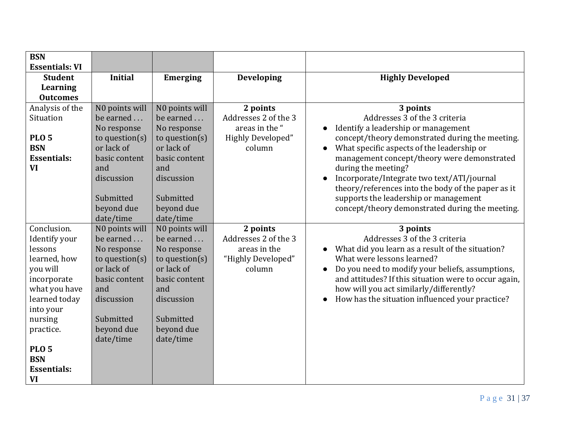| <b>BSN</b>                   |                                 |                                 |                              |                                                                                                  |
|------------------------------|---------------------------------|---------------------------------|------------------------------|--------------------------------------------------------------------------------------------------|
| <b>Essentials: VI</b>        |                                 |                                 |                              |                                                                                                  |
| <b>Student</b>               | <b>Initial</b>                  | <b>Emerging</b>                 | <b>Developing</b>            | <b>Highly Developed</b>                                                                          |
| Learning                     |                                 |                                 |                              |                                                                                                  |
| <b>Outcomes</b>              |                                 |                                 |                              |                                                                                                  |
| Analysis of the              | N0 points will                  | NO points will                  | 2 points                     | 3 points                                                                                         |
| Situation                    | be earned                       | be earned                       | Addresses 2 of the 3         | Addresses 3 of the 3 criteria                                                                    |
|                              | No response                     | No response                     | areas in the "               | Identify a leadership or management                                                              |
| <b>PLO 5</b>                 | to question $(s)$               | to question(s)                  | <b>Highly Developed"</b>     | concept/theory demonstrated during the meeting.                                                  |
| <b>BSN</b>                   | or lack of                      | or lack of                      | column                       | What specific aspects of the leadership or                                                       |
| <b>Essentials:</b>           | basic content                   | basic content                   |                              | management concept/theory were demonstrated                                                      |
| <b>VI</b>                    | and                             | and                             |                              | during the meeting?                                                                              |
|                              | discussion                      | discussion                      |                              | Incorporate/Integrate two text/ATI/journal                                                       |
|                              |                                 |                                 |                              | theory/references into the body of the paper as it                                               |
|                              | Submitted                       | Submitted                       |                              | supports the leadership or management                                                            |
|                              | beyond due                      | beyond due                      |                              | concept/theory demonstrated during the meeting.                                                  |
|                              | date/time                       | date/time                       |                              |                                                                                                  |
| Conclusion.                  | N0 points will                  | N0 points will                  | 2 points                     | 3 points                                                                                         |
| Identify your                | be earned                       | be earned                       | Addresses 2 of the 3         | Addresses 3 of the 3 criteria                                                                    |
| lessons                      | No response                     | No response                     | areas in the                 | What did you learn as a result of the situation?<br>What were lessons learned?                   |
| learned, how                 | to question $(s)$<br>or lack of | to question $(s)$<br>or lack of | "Highly Developed"<br>column |                                                                                                  |
| you will                     |                                 | basic content                   |                              | Do you need to modify your beliefs, assumptions,                                                 |
| incorporate<br>what you have | basic content<br>and            | and                             |                              | and attitudes? If this situation were to occur again,<br>how will you act similarly/differently? |
| learned today                | discussion                      | discussion                      |                              | How has the situation influenced your practice?                                                  |
| into your                    |                                 |                                 |                              |                                                                                                  |
| nursing                      | Submitted                       | Submitted                       |                              |                                                                                                  |
| practice.                    | beyond due                      | beyond due                      |                              |                                                                                                  |
|                              | date/time                       | date/time                       |                              |                                                                                                  |
| <b>PLO 5</b>                 |                                 |                                 |                              |                                                                                                  |
| <b>BSN</b>                   |                                 |                                 |                              |                                                                                                  |
| <b>Essentials:</b>           |                                 |                                 |                              |                                                                                                  |
| <b>VI</b>                    |                                 |                                 |                              |                                                                                                  |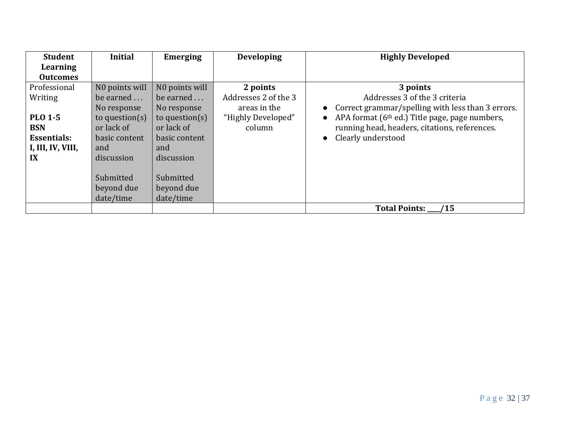| <b>Student</b>     | <b>Initial</b>    | <b>Emerging</b>   | <b>Developing</b>    | <b>Highly Developed</b>                                    |
|--------------------|-------------------|-------------------|----------------------|------------------------------------------------------------|
| Learning           |                   |                   |                      |                                                            |
| <b>Outcomes</b>    |                   |                   |                      |                                                            |
| Professional       | NO points will    | NO points will    | 2 points             | 3 points                                                   |
| Writing            | be earned         | be earned         | Addresses 2 of the 3 | Addresses 3 of the 3 criteria                              |
|                    | No response       | No response       | areas in the         | Correct grammar/spelling with less than 3 errors.          |
| <b>PLO 1-5</b>     | to question $(s)$ | to question $(s)$ | "Highly Developed"   | APA format (6 <sup>th</sup> ed.) Title page, page numbers, |
| <b>BSN</b>         | or lack of        | or lack of        | column               | running head, headers, citations, references.              |
| <b>Essentials:</b> | basic content     | basic content     |                      | Clearly understood<br>$\bullet$                            |
| I, III, IV, VIII,  | and               | and               |                      |                                                            |
| IX                 | discussion        | discussion        |                      |                                                            |
|                    |                   |                   |                      |                                                            |
|                    | Submitted         | Submitted         |                      |                                                            |
|                    | beyond due        | beyond due        |                      |                                                            |
|                    | date/time         | date/time         |                      |                                                            |
|                    |                   |                   |                      | <b>Total Points:</b><br>/15                                |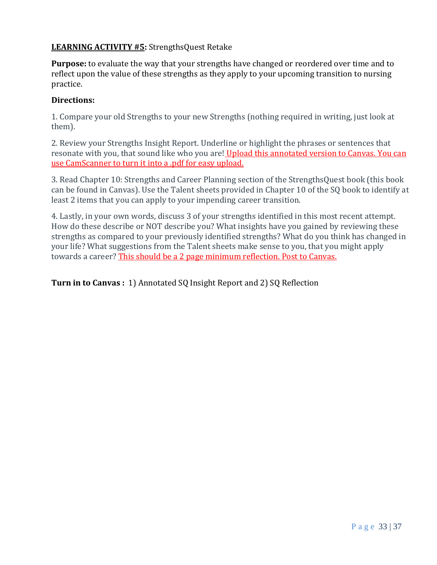## **LEARNING ACTIVITY #5:** StrengthsQuest Retake

**Purpose:** to evaluate the way that your strengths have changed or reordered over time and to reflect upon the value of these strengths as they apply to your upcoming transition to nursing practice.

#### **Directions:**

1. Compare your old Strengths to your new Strengths (nothing required in writing, just look at them).

2. Review your Strengths Insight Report. Underline or highlight the phrases or sentences that resonate with you, that sound like who you are! Upload this annotated version to Canvas. You can use CamScanner to turn it into a .pdf for easy upload.

3. Read Chapter 10: Strengths and Career Planning section of the StrengthsQuest book (this book can be found in Canvas). Use the Talent sheets provided in Chapter 10 of the SQ book to identify at least 2 items that you can apply to your impending career transition.

4. Lastly, in your own words, discuss 3 of your strengths identified in this most recent attempt. How do these describe or NOT describe you? What insights have you gained by reviewing these strengths as compared to your previously identified strengths? What do you think has changed in your life? What suggestions from the Talent sheets make sense to you, that you might apply towards a career? This should be a 2 page minimum reflection. Post to Canvas.

**Turn in to Canvas :** 1) Annotated SQ Insight Report and 2) SQ Reflection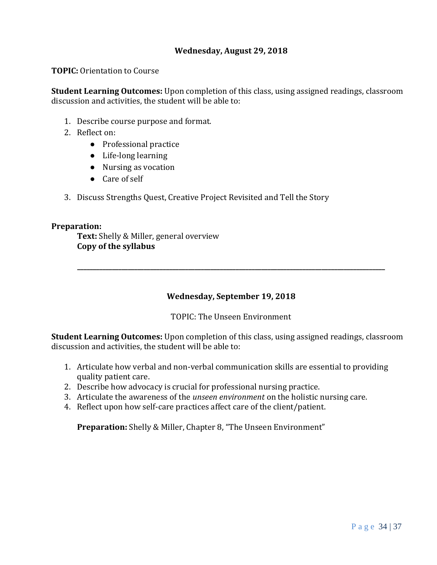#### **Wednesday, August 29, 2018**

**TOPIC:** Orientation to Course

**Student Learning Outcomes:** Upon completion of this class, using assigned readings, classroom discussion and activities, the student will be able to:

- 1. Describe course purpose and format.
- 2. Reflect on:
	- Professional practice
	- Life-long learning
	- Nursing as vocation
	- Care of self
- 3. Discuss Strengths Quest, Creative Project Revisited and Tell the Story

#### **Preparation:**

**Text:** Shelly & Miller, general overview **Copy of the syllabus**

#### **Wednesday, September 19, 2018**

**\_\_\_\_\_\_\_\_\_\_\_\_\_\_\_\_\_\_\_\_\_\_\_\_\_\_\_\_\_\_\_\_\_\_\_\_\_\_\_\_\_\_\_\_\_\_\_\_\_\_\_\_\_\_\_\_\_\_\_\_\_\_\_\_\_\_\_\_\_\_\_\_\_\_\_\_\_\_\_\_\_\_\_\_\_\_\_\_\_\_\_\_\_\_\_\_\_**

TOPIC: The Unseen Environment

**Student Learning Outcomes:** Upon completion of this class, using assigned readings, classroom discussion and activities, the student will be able to:

- 1. Articulate how verbal and non-verbal communication skills are essential to providing quality patient care.
- 2. Describe how advocacy is crucial for professional nursing practice.
- 3. Articulate the awareness of the *unseen environment* on the holistic nursing care.
- 4. Reflect upon how self-care practices affect care of the client/patient.

**Preparation:** Shelly & Miller, Chapter 8, "The Unseen Environment"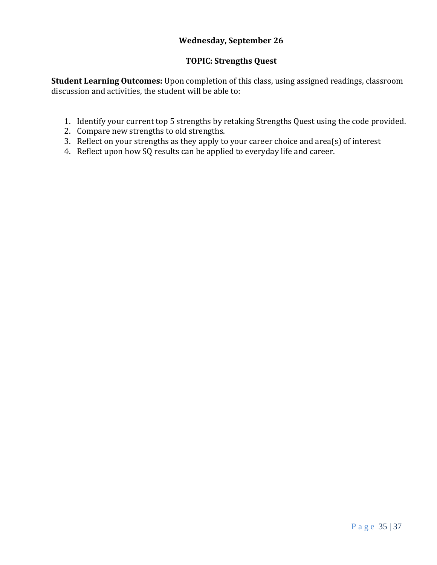## **Wednesday, September 26**

#### **TOPIC: Strengths Quest**

**Student Learning Outcomes:** Upon completion of this class, using assigned readings, classroom discussion and activities, the student will be able to:

- 1. Identify your current top 5 strengths by retaking Strengths Quest using the code provided.
- 2. Compare new strengths to old strengths.
- 3. Reflect on your strengths as they apply to your career choice and area(s) of interest
- 4. Reflect upon how SQ results can be applied to everyday life and career.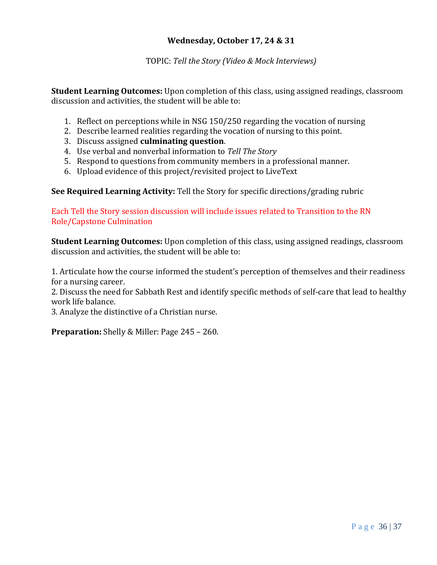#### **Wednesday, October 17, 24 & 31**

#### TOPIC: *Tell the Story (Video & Mock Interviews)*

**Student Learning Outcomes:** Upon completion of this class, using assigned readings, classroom discussion and activities, the student will be able to:

- 1. Reflect on perceptions while in NSG 150/250 regarding the vocation of nursing
- 2. Describe learned realities regarding the vocation of nursing to this point.
- 3. Discuss assigned **culminating question**.
- 4. Use verbal and nonverbal information to *Tell The Story*
- 5. Respond to questions from community members in a professional manner.
- 6. Upload evidence of this project/revisited project to LiveText

#### **See Required Learning Activity:** Tell the Story for specific directions/grading rubric

Each Tell the Story session discussion will include issues related to Transition to the RN Role/Capstone Culmination

**Student Learning Outcomes:** Upon completion of this class, using assigned readings, classroom discussion and activities, the student will be able to:

1. Articulate how the course informed the student's perception of themselves and their readiness for a nursing career.

2. Discuss the need for Sabbath Rest and identify specific methods of self-care that lead to healthy work life balance.

3. Analyze the distinctive of a Christian nurse.

**Preparation:** Shelly & Miller: Page 245 – 260.